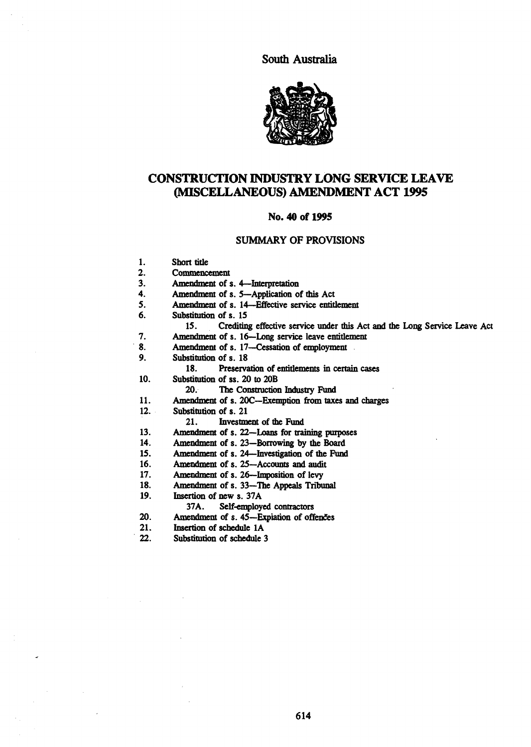South Australia



# CONSTRUCTION INDUSTRY LONG SERVICE LEAVE (MISCELLANEOUS) AMENDMENT ACT 1995

#### No. 40 of 1995

### SUMMARY OF PROVISIONS

1. Short title<br>2. Commence 2. Commencement<br>3. Amendment of s 3. Amendment of s. 4—Interpretation<br>4. Amendment of s. 5—Application of 4. Amendment of s. 5-Application of this Act<br>5. Amendment of s. 14-Effective service entiti 5. Amendment of s. 14—Effective service entitlement 6. Substitution of s. 15 6. Substitution of s. *IS*  15. Crediting effective service under this Act and the Long Service Leave Act 7. Amendment of s. 16—Long service leave entitlement<br>8. Amendment of s. 17—Cessation of employment Amendment of s. 17-Cessation of employment. 9. Substitution of s. 18

18. Preservation of entitlements in certain cases

10. Substitution of ss. 20 to 20B

20.· The Construction Industry Fund

- 1l. Amendment of s. 2OC-Exemption from taxes and charges
- 12. Substitution of s. 21<br>21. Investment

Investment of the Fund

- 13. Amendment of s. 22-Loans for training purposes
- 14. Amendment of s. 23-Borrowing by the Board
- 15. Amendment of s. 24-Investigation of the Fund
- 16. Amendment of s. 25-Accounts and audit
- 17. Amendment of s. 26-Imposition of levy
- 18. Amendment of s. 33—The Appeals Tribunal 19. Insertion of new s. 37A
- Insertion of new s. 37A

37A. Self-employed contractors

- 20. Amendment of s.  $45$ -Expiation of offences<br>21. Insertion of schedule 1A
- 21. **Insertion of schedule 1A**<br>22. Substitution of schedule 3
- Substitution of schedule 3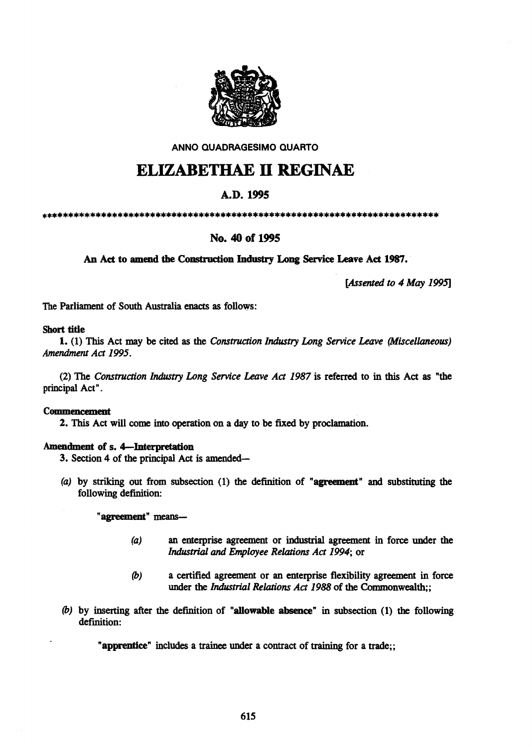

AN NO QUADRAGESIMO QUARTO

# **ELIZABETHAE II REGINAE**

# A.D.1995

\*\*\*\*\*\*\*\*\*\*\*\*\*\*\*\*\*\*\*\*\*\*\*\*\*\*\*\*\*\*\*\*\*\*\*\*\*\*\*\*\*\*\*\*\*\*\*\*\*\*\*\*\*\*\*\*\*\*\*\*\*\*\*\*\*\*\*\*\*\*\*\*\*

# No. 40 of 1995

An Act to amend the Construction Industry Long Service Leave Act 1987.

*[Assented to* 4 *May 1995]* 

The Parliament of South Australia enacts as follows:

# Short title

1. (1) This Act may be cited as the *Construction Industry Long Service Leave (Miscellaneous) Amendment Act* 1995.

(2) The *Construction Industry Long Service Leave Act* 1987 is referred to in this Act as "the principal Act".

# Commencement

2. This Act will come into operation on a day to be fixed by proclamation.

# Amendment of s. 4-Interpretation

- 3. Section 4 of the principal Act is amended-
- (a) by striking out from subsection (1) the definition of "agreement" and substituting the following definition:

"agreement" means-

- (a) an enterprise agreement or industrial agreement in force under the *Industrial and Employee Relations Act* 1994; or
- (b) a certified agreement or an enterprise flexibility agreement in force under the *Industrial Relations Act* 1988 of the Commonwealth;;
- (b) by inserting after the definition of "allowable absence" in subsection (1) the following definition:

"apprentice" includes a trainee under a contract of training for a trade;;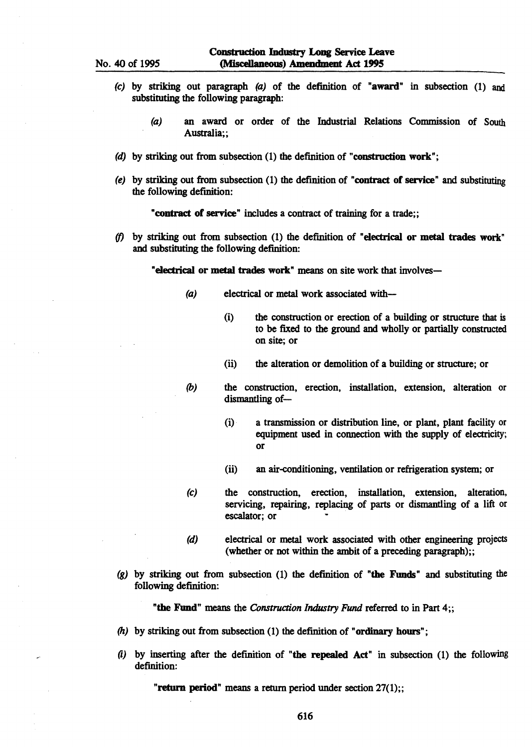- (c) by striking out paragraph (a) of the definition of "award" in subsection (1) and substituting the following paragraph:
	- (a) an award or order of the Industrial Relations Commission of South Australia; ;
- (d) by striking out from subsection  $(1)$  the definition of "construction work";
- (e) by striking out from subsection  $(1)$  the definition of "contract of service" and substituting the following definition:

"contract of service" includes a contract of training for a trade;;

*(f)* by striking out from subsection (1) the defInition of "electrical or metal trades work" and substituting the following definition:

"electrical or metal trades work" means on site work that involves-

- (a) electrical or metal work associated with-
	- (i) the construction or erection of a building or structure that is to be fixed to the ground and wholly or partially constructed on site; or
	- (ii) the alteration or demolition of a building or structure; or
- *(b)* the construction, erection, installation, extension, alteration or dismantling of-
	- (i) . a transmission or distribution line, or plant, plant facility or equipment used in connection with the supply of electricity; or
	- (ii) an air-conditioning, ventilation or refrigeration system; or
- (c) the construction, erection, installation, extension, alteration, servicing, repairing, replacing of parts or dismantling of a lift or escalator; or
- (d) electrical or metal work associated with other engineering projects (whether or not within the ambit of a preceding paragraph);;
- (g) by striking out from subsection (I) the definition of "the Funds" and substituting the following definition:

"the Fund" means the *Construction Industry* Fund referred to in Part 4;;

- *(h)* by striking out from subsection (1) the definition of "ordinary hours";
- *(i)* by inserting after the definition of "the repealed Act" in subsection (1) the following definition:

"return period" means a return period under section 27(1);;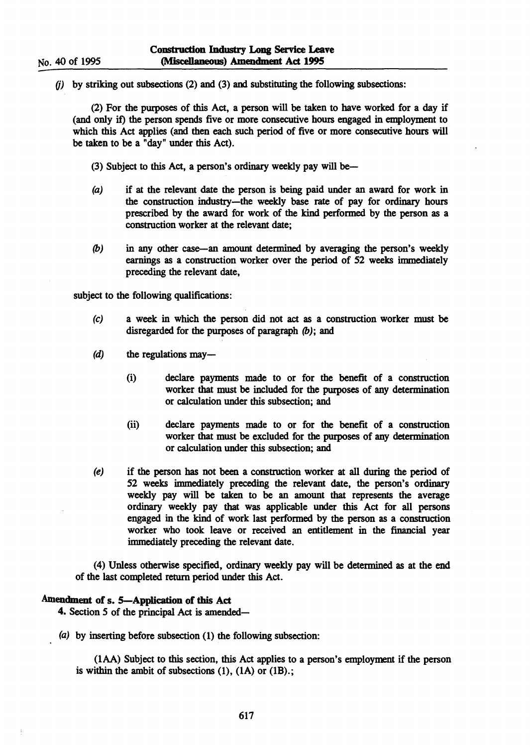$(i)$  by striking out subsections (2) and (3) and substituting the following subsections:

(2) For the purposes of this Act, a person will be taken to have worked for a day if (and only it) the person spends five or more consecutive hours engaged in employment to which this Act applies (and then each such period of five or more consecutive hours will be taken to be a "day" under this Act).

(3) Subject to this Act, a person's ordinary weekly pay will be-

- (a) if at the relevant date the person is being paid under an award for work in the construction industry-the weekly base rate of pay for ordinary hours prescribed by the award for work of the kind performed by the person as a construction worker at the relevant date;
- (b) in any other case-an amount determined by averaging the person's weekly earnings as a construction worker over the period of 52 weeks inunediately preceding the relevant date,

subject to the following qualifications:

- (c) a week in which the person did not act as a construction worker must be disregarded for the purposes of paragraph  $(b)$ ; and
- $(d)$  the regulations may—
	- (i) declare payments made to or for the benefit of a construction worker that must be included for the purposes of any determination or calculation under this subsection; and
	- (ii) declare payments made to or for the benefit of a construction worker that must be excluded for the purposes of any determination or calculation under this subsection; and
- (e) if the person has not been a construction worker at all during the period of 52 weeks immediately preceding the relevant date, the person's ordinary weekly pay will be taken to be an amount that represents the average ordinary weekly pay that was applicable under this Act for all persons engaged in the kind of work last performed by the person as a construction worker who took leave or received an entitlement in the financial year immediately preceding the relevant date.

(4) Unless otherwise specified, ordinary weekly pay will be determined as at the end of the last completed return period under this Act.

# Amendment of s. 5-Application of this Act

4. Section 5 of the principal Act is amended-

(a) by inserting before subsection (1) the following subsection:

(lAA) Subject to this section, this Act applies to a person's employment if the person is within the ambit of subsections  $(1)$ ,  $(1A)$  or  $(1B)$ .;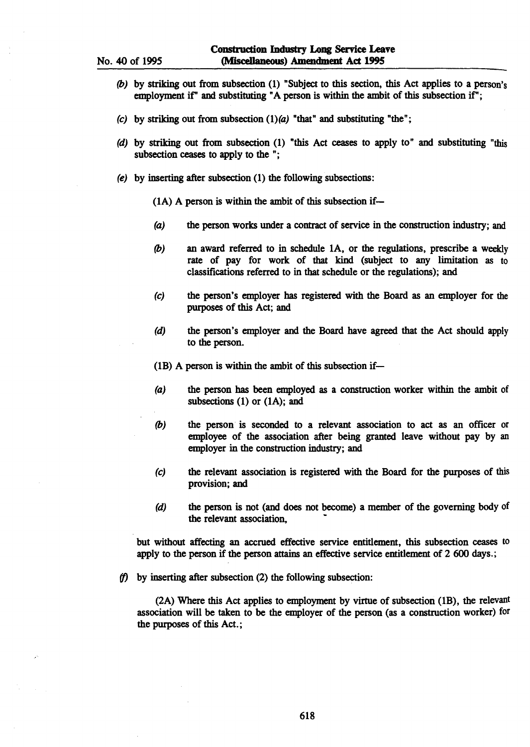- *(b)* by striking out from subsection (1) "Subject to this section, this Act applies to a person's employment if" and substituting "A person is within the ambit of this subsection if";
- (c) by striking out from subsection  $(1)(a)$  "that" and substituting "the";
- (d) by striking out from subsection (I) "this Act ceases to apply to" and substituting "this subsection ceases to apply to the ";
- (e) by inserting after subsection (1) the following subsections:
	- $(1A)$  A person is within the ambit of this subsection if-
	- (a) the person works under a contract of service in the construction industry; and
	- *(b)* an award referred to in schedule lA, or the regulations, prescribe a weekly rate of pay for work of that kind (subject to any limitation as to classifications referred to in that schedule or the regulations); and
	- (c) the person's employer has registered with the Board as an employer for the purposes of this Act; and
	- (d) the person's employer and the Board have agreed that the Act should apply to the person.

(IB) A person is within the ambit of this subsection if-

- (a) the person has been employed as a construction worker within the ambit of subsections  $(1)$  or  $(1A)$ ; and
- *(b)* the person is seconded to a relevant association to act as an officer or employee of the association after being granted leave without pay by an employer in the construction industry; and
- (c) the relevant association is registered with the Board for the purposes of this provision; and
- (d) the person is not (and does not become) a member of the governing body of the relevant association,

but without affecting an accrued effective service entitlement, this subsection ceases to apply to the person if the person attains an effective service entitlement of 2 600 days.;

(f) by inserting after subsection (2) the following subsection:

(2A) Where this Act applies to employment by virtue of subsection (lB), the relevant association will be taken to be the employer of the person (as a construction worker) for the purposes of this Act.;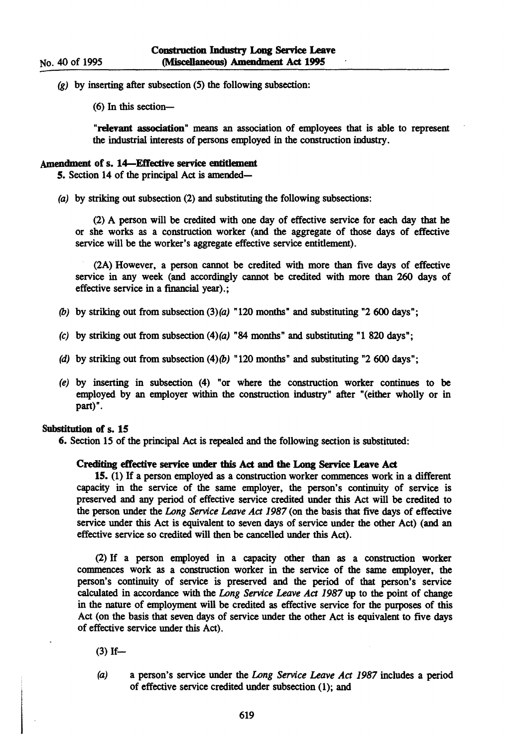$(g)$  by inserting after subsection (5) the following subsection:

(6) In this section-

"relevant association" means an association of employees that is able to represent the industrial interests of persons employed in the construction industry.

# Amendment of s. 14-EtTective service entitlement

5. Section 14 of the principal Act is amended-

(a) by striking out subsection (2) and substituting the following subsections:

(2) A person will be credited with one day of effective service for each day that he or she works as a construction worker (and the aggregate of those days of effective service will be the worker's aggregate effective service entitlement).

(2A) However, a person cannot be credited with more than five days of effective service in any week (and accordingly cannot be credited with more than 260 days of effective service in a financial year).;

- (b) by striking out from subsection  $(3)(a)$  "120 months" and substituting "2 600 days";
- (c) by striking out from subsection  $(4)(a)$  "84 months" and substituting "1 820 days";
- (d) by striking out from subsection  $(4)(b)$  "120 months" and substituting "2 600 days";
- (e) by inserting in subsection (4) "or where the construction worker continues to be employed by an employer within the construction industry" after "(either wholly or in part)".

# Substitution of s. 15

6. Section 15 of the principal Act is repealed and the following section is substituted:

# Crediting etTective service under this Act and the Long Service Leave Act

15. (I) If a person employed as a construction worker commences work in a different capacity in the service of the same employer, the person's continuity of service is preserved and any period of effective service credited under this Act will be credited to the person under the Long Service Leave Act 1987 (on the basis that five days of effective service under this Act is equivalent to seven days of service under the other Act) (and an effective service so credited will then be cancelled under this Act).

(2) If a person employed in a capacity other than as a construction worker commences work as a construction worker in the service of the same employer, the person's continuity of service is preserved and the period of that person's service calculated in accordance with the Long Service Leave Act 1987 up to the point of change in the nature of employment will be credited as effective service for the purposes of this Act (on the basis that seven days of service under the other Act is equivalent to five days of effective service under this Act).

 $(3)$  If-

(a) a person's service under the Long Service Leave Act 1987 includes a period of effective service credited under subsection (1); and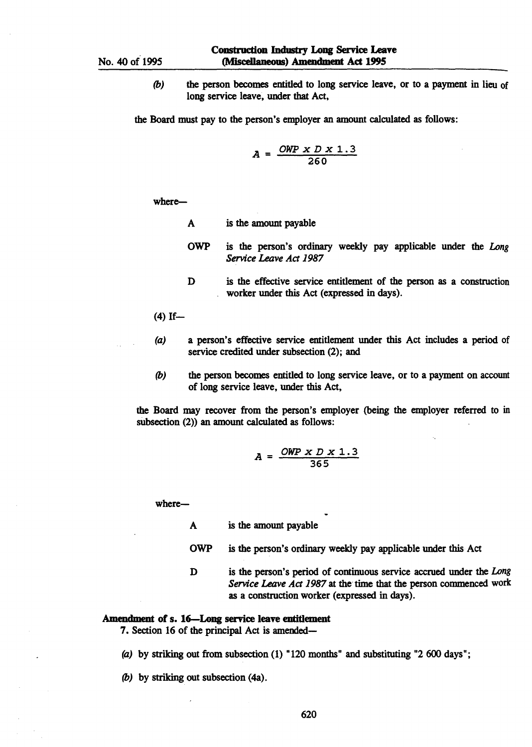*(b)*  the person becomes entitled to long service leave, or to a payment in lieu of long service leave, under that Act,

the Board must pay to the person's employer an amount calculated as follows:

$$
A = \frac{OWP \times D \times 1.3}{260}
$$

where-

- A is the amount payable
- OWP is the person's ordinary weekly pay applicable under the *Long Service Leave Act 1987*
- D is the effective service entitlement of the person as a construction worker under this Act (expressed in days).
- $(4)$  If-
- (a) a person's effective service entitlement under this Act includes a period of service credited under subsection (2); and
- *(b)* the person becomes entitled to long service leave, or to a payment on account of long service leave, under this Act,

the Board may recover from the person's employer (being the employer referred to in subsection  $(2)$ ) an amount calculated as follows:

$$
A = \frac{OWP \times D \times 1.3}{365}
$$

where-

A is the amount payable

- OWP is the person's ordinary weekly pay applicable under this Act
- D is the person's period of continuous service accrued under the *Long Service Leave Act* 1987 at the time that the person commenced work as a construction worker (expressed in days).

# Amendment of s. 16-Long service leave entidement

7. Section 16 of the principal Act is amended-

(a) by striking out from subsection (1) "120 months" and substituting "2 600 days";

*(b)* by striking out subsection (4a).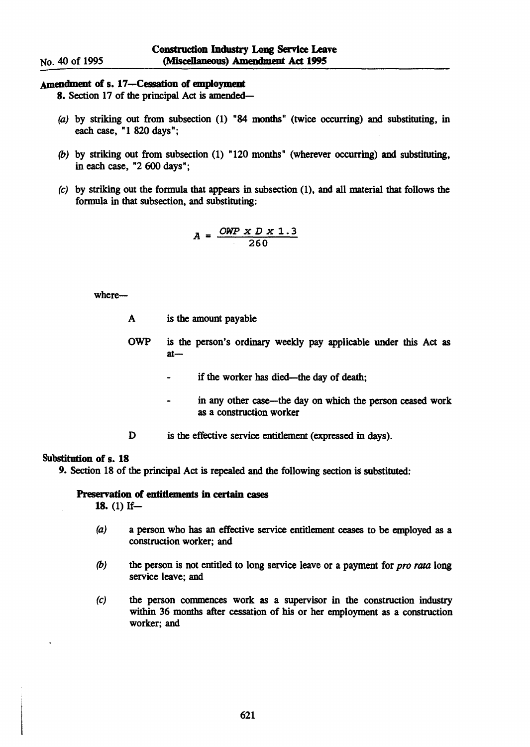# No. 40 of 1995

# Amendment of s. 17-Cessation of employment

8. Section 17 of the principal Act is amended-

- (a) by striking out from subsection (1) "84 months" (twice occurring) and substituting, in each case, "1 820 days";
- (b) by striking out from subsection (1) "120 months" (wherever occurring) and substituting, in each case, "2 600 days";
- (e) by striking out the formula that appears in subsection (1), and all material that follows the formula in that subsection, and substituting:

$$
A = \frac{OWP \times D \times 1.3}{260}
$$

where-

- A is the amount payable
- OWP is the person's ordinary weekly pay applicable under this Act as  $at$ 
	- if the worker has died-the day of death;
	- in any other case-the day on which the person ceased work  $\ddot{\phantom{0}}$ as a construction worker
- D is the effective service entitlement (expressed in days).

### Substitution of s. 18

9. Section 18 of the principal Act is repealed and the following section is substituted:

# Preservation of entitlements in certain cases

18.  $(1)$  If-

- (a) a person who has an effective service entitlement ceases to be employed as a construction worker; and
- (b) the person is not entitled to long service leave or a payment for *pro rata* long service leave; and
- (e) the person commences work as a supervisor in the construction industry within 36 months after cessation of his or her employment as a construction worker; and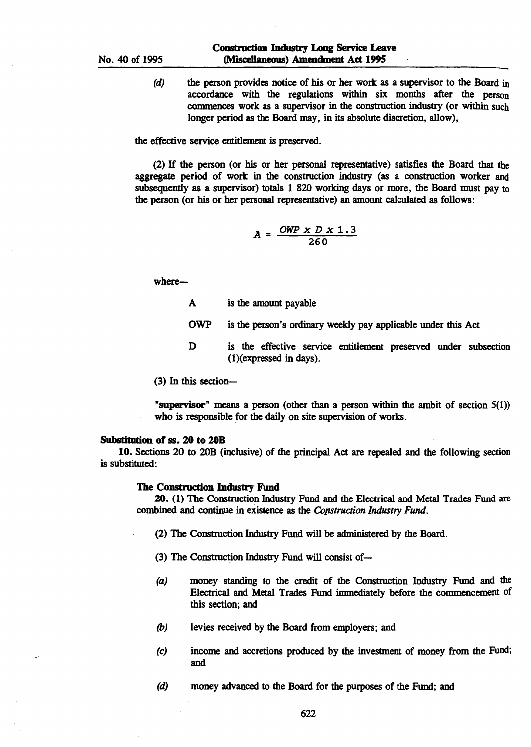(d) the person provides notice of his or her work as a supervisor to the Board in accordance with the regulations within six months after the person commences work as a supervisor in the construction industry (or within such longer period as the Board may, in its absolute discretion, allow),

the effective service entitlement is preserved.

(2) If the person (or his or her personal representative) satisfies the Board that the aggregate period of work in the construction industry (as a construction worker and subsequently as a supervisor) totals 1 820 working days or more, the Board must pay to the person (or his or her personal representative) an amount calculated as follows:

$$
A = \frac{OWP \times D \times 1.3}{260}
$$

where-

- A is the amount payable
- OWP is the person's ordinary weekly pay applicable under this Act
- D is the effective service entitlement preserved under subsection (1)(expressed in days).

(3) In this section-

"supervisor" means a person (other than a person within the ambit of section 5(1)) who is responsible for the daily on site supervision of works.

#### Substitution of ss. 20 to 20B

10. Sections 20 to 20B (inclusive) of the principal Act are repealed and the following section is substituted:

#### The Construction Industry Fund

20. (1) The Construction Industry Fund and the Electrical and Metal Trades Fund are combined and continue in existence as the *Copstruction Industry Fund.* 

- (2) The Construction Industry Fund will be administered by the Board.
- (3) The Construction Industry Fund will consist of-
- (a) money standing to the credit of the Construction Industry Fund and the Electrical and Metal Trades Fund immediately before the commencement of this section; and
- *(b)* levies received by the Board from employers; and
- (c) income and accretions produced by the investment of money from the Fund; and
- (d) money advanced to the Board for the purposes of the Fund; and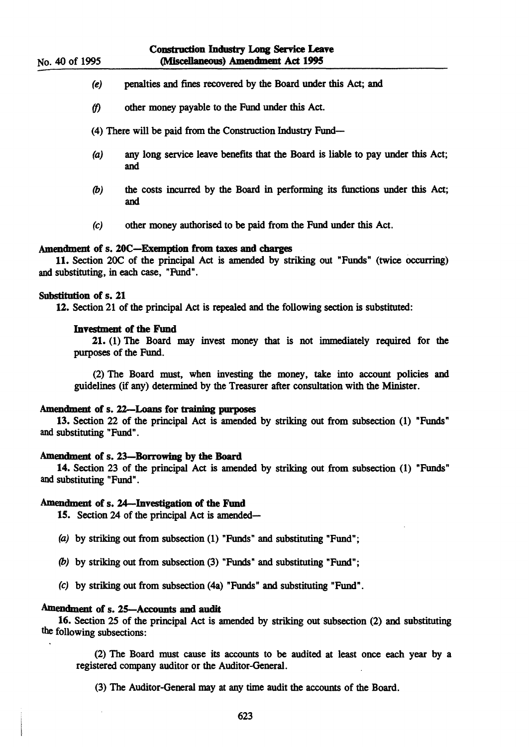# Construction Industry Long Service Leave (Miscellaneous) Amendment Act 1995

- (e) penalties and fmes recovered by the Board under this Act; and
- *(f)*  other money payable to the Fund under this Act.
- (4) There will be paid from the Construction Industry Fund-
- (a) any long service leave benefits that the Board is liable to pay under this Act; and
- (b) the costs incurred by the Board in performing its functions under this Act; and
- (c) other money authorised to be paid from the Fund under this Act.

### Amendment of s. 20C-Exemption from taxes and charges

11. Section 20C of the principal Act is amended by striking out "Funds" (twice occurring) and substituting, in each case, "Fund".

#### Substitution of s. 21

12. Section 21 of the principal Act is repealed and the following section is substituted:

#### Investment of the Fund

21. (1) The Board may invest money that is not immediately required for the purposes of the Fund.

(2) The Board must, when investing the money, take into account policies and guidelines (if any) determined by the Treasurer after consultation with the Minister.

#### Amendment of s. 22-Loans for training purposes

13. Section 22 of the principal Act is amended by striking out from subsection (1) "Funds" and substituting "Fund".

### Amendment of s. 23-Borrowing by the Board

14. Section 23 of the principal Act is amended by striking out from subsection (1) "Funds" and substituting "Fund".

#### Amendment of s. 24-Investigation of the Fund

15. Section 24 of the principal Act is amended-

- (a) by striking out from subsection (1) "Funds" and substituting "Fund";
- (b) by striking out from subsection (3) "Funds" and substituting "Fund";
- (c) by striking out from subsection (4a) "Funds" and substituting "Fund".

# Amendment of s. 25-Accounts and audit

16. Section 25 of the principal Act is amended by striking out subsection (2) and substituting the following subsections:

(2) The Board must cause its accounts to be audited at least once each year by a registered company auditor or the Auditor-General.

(3) The Auditor-General may at any time audit the accounts of the Board.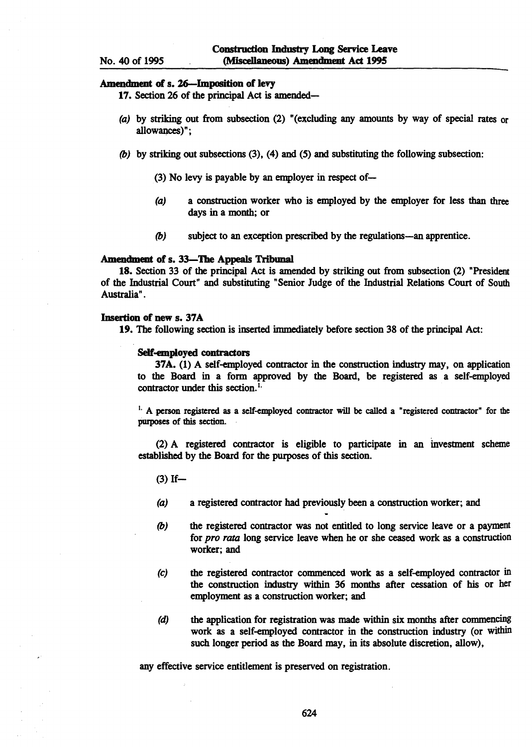#### Amendment of s. 26-lmposition of levy

17. Section 26 of the principal Act is amended-

- (a) by striking out from subsection (2) "(excluding any amounts by way of special rates or allowances)";
- *(b)* by striking out subsections (3), (4) and (5) and substituting the following subsection:
	- (3) No levy is payable by an employer in respect of-
	- (a) a construction worker who is employed by the employer for less than three days in a month; or
	- *(b)* subject to an exception prescribed by the regulations-an apprentice.

#### Amendment of s. 33-The Appeals Tribunal

18. Section 33 of the principal Act is amended by striking out from subsection (2) "President of the Industrial Court" and substituting "Senior Judge of the Industrial Relations Court of South Australia" .

# Insertion of new s. 37A

19. The following section is inserted inunediately before section 38 of the principal Act:

#### Self-employed contractors

37A. (1) A self-employed contractor in the construction industry may, on application to the Board in a form approved by the Board, be registered as a self-employed contractor under this section.<sup>1.</sup>

<sup>1.</sup> A person registered as a self-employed contractor will be called a "registered contractor" for the purposes of this section.

(2) A registered contractor is eligible to participate in an investment scheme established by the Board for the purposes of this section.

 $(3)$  If-

- (a) a registered contractor had previously been a construction worker; and
- *(b)* the registered contractor was not entitled to long service leave or a payment for *pro rata* long service leave when he or she ceased work as a construction worker; and
- (c) the registered contractor commenced work as a self-employed contractor in the construction industry within 36 months after cessation of his or her employment as a construction worker; and
- (d) the application for registration was made within six months after commencing work as a self-employed contractor in the construction industry (or within such longer period as the Board may, in its absolute discretion, allow),

any effective service entitlement is preserved on registration.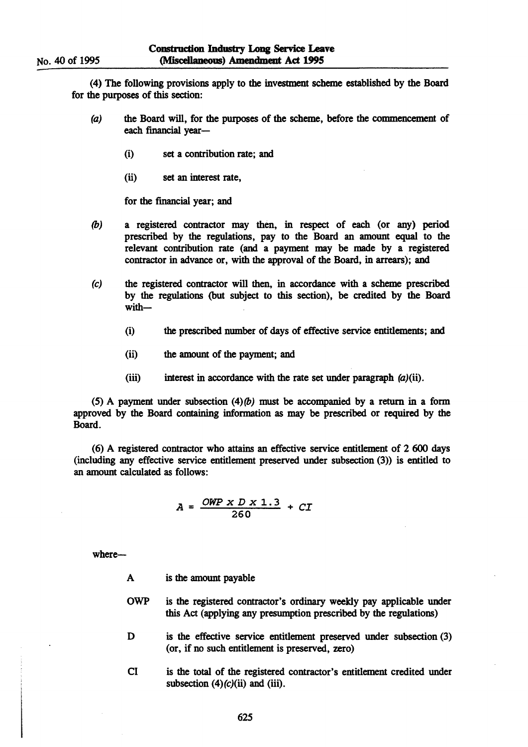(4) The following provisions apply to the investtnent scheme established by the Board for the purposes of this section:

- (a) the Board will, for the purposes of the scheme, before the commencement of each financial year-
	- (i) set a contribution rate; and
	- (ii) set an interest rate,

for the fmancial year; and

- (b) a registered contractor may then, in respect of each (or any) period prescribed by the regulations, pay to the Board an amount equal to the relevant contribution rate (and a payment may be made by a registered contractor in advance or, with the approval of the Board, in arrears); and
- (e) the registered contractor will then, in accordance with a scheme prescribed by the regulations (but subject to this section), be credited by the Board with-
	- (i) the prescribed number of days of effective service entitlements; and
	- (ii) the amount of the payment; and
	- (iii) interest in accordance with the rate set under paragraph  $(a)$ (ii).

(5) A payment under subsection  $(4)(b)$  must be accompanied by a return in a form approved by the Board containing information as may be prescribed or required by the Board.

(6) A registered contractor who attains an effective service entitlement of 2600 days (including any effective service entitlement preserved under subsection (3» is entitled to an amount calculated as follows:

$$
A = \frac{OWP \times D \times 1.3}{260} + CT
$$

where-

- A is the amount payable
- OWP is the registered contractor's ordinary weekly pay applicable under this Act (applying any presumption prescribed by the regulations)
- D is the effective service entitlement preserved under subsection (3) (or, if no such entitlement is preserved, zero)
- Cl is the total of the registered contractor's entitlement credited under subsection  $(4)(c)(ii)$  and (iii).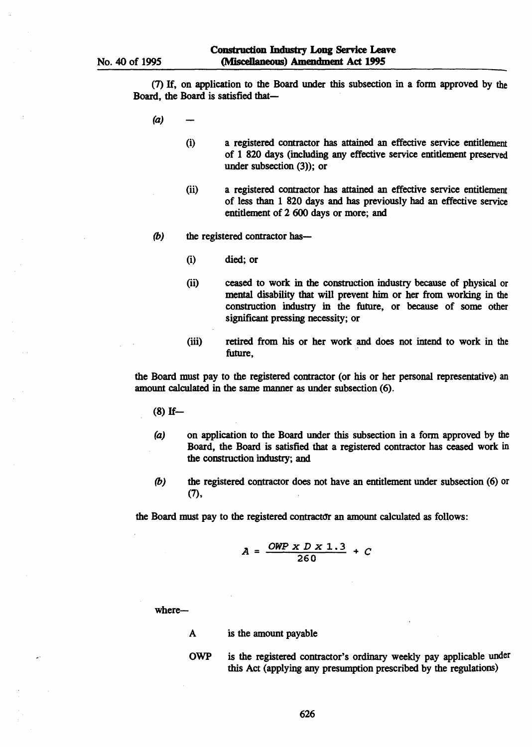(7) If, on application to the Board under this subsection in a fonn approved by the Board, the Board is satisfied that-

- (a)
	- (i) a registered contractor has attained an effective service entitlement of 1 820 days (including any effective service entitlement preserved under subsection  $(3)$ ; or
	- (ii) a registered contractor has attained an effective service entitlement of less than 1 820 days and has previously had an effective service entitlement of 2 600 days or more; and
- *(b)* the registered contractor has—
	- (i) died; or
	- (ii) ceased to work in the construction industry because of physical or mental disability that will prevent him or her from working in the construction industry in the future, or because of some other significant pressing necessity; or
	- (iii) retired from his or her work and does not intend to work in the future,

the Board must pay to the registered contractor (or his or her personal representative) an amount calculated in the same manner as under subsection (6).

- $(8)$  If-
- (a) on application to the Board under this subsection in a form approved by the Board, the Board is satisfied that a registered contractor has ceased work in the construction industry; and
- *(b)* the registered contractor does not have an entitlement under subsection (6) or (7),

the Board must pay to the registered contractor an amount calculated as follows:

$$
A = \frac{OWP \times D \times 1.3}{260} + C
$$

where-

- A is the amount payable
- OWP is the registered contractor's ordinary weekly pay applicable under this Act (applying any presumption prescribed by the regulations)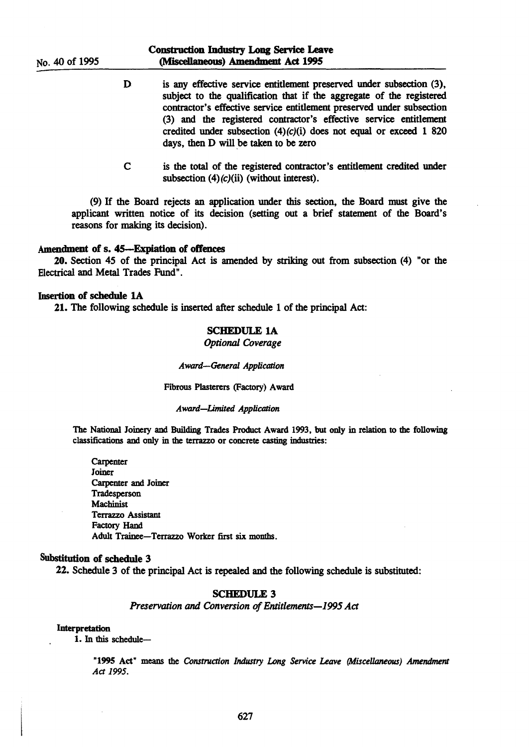- D is any effective service entitlement preserved under subsection (3), subject to the qualification that if the aggregate of the registered contractor's effective service entitlement preserved under subsection (3) and the registered contractor's effective service entitlement credited under subsection  $(4)(c)(i)$  does not equal or exceed 1 820 days, then D will be taken to be zero
- C is the total of the registered contractor's entitlement credited under subsection  $(4)(c)(ii)$  (without interest).

(9) If the Board rejects an application under this section, the Board must give the applicant written notice of its decision (setting out a brief statement of the Board's reasons for making its decision).

#### Amendment of s. 45-Expiation of offences

20. Section 45 of the principal Act is amended by striking out from subsection (4) "or the Electrical and Metal Trades Fund".

# Insertion of schedule lA

21. The following schedule is inserted after schedule 1 of the principal Act:

# SCHEDULE lA

### *Optional Coverage*

*Award-General Application* 

Fibrous Plasterers (Factory) Award

#### *Award-Limited Application*

The National Joinery and Building Trades Product Award 1993, but only in relation to the following classifications and only in the terrazzo or concrete casting industries:

**Carpenter** Joiner Carpenter and Joiner **Tradesperson Machinist** Terrazzo Assistant Factory Hand Adult Trainee-Terrazzo Worker first six months.

### Substitution of schedule 3

22. Schedule 3 of the principal Act is repealed and the following schedule is substituted:

# SCHEDULE 3

*Preservation* and *Conversion of Entitlements-1995 Act* 

#### Interpretation

1. In this schedule-

"1995 Act" means the *Construction Industry Long Service Leave (Miscellaneous) Amendment Act 1995.*